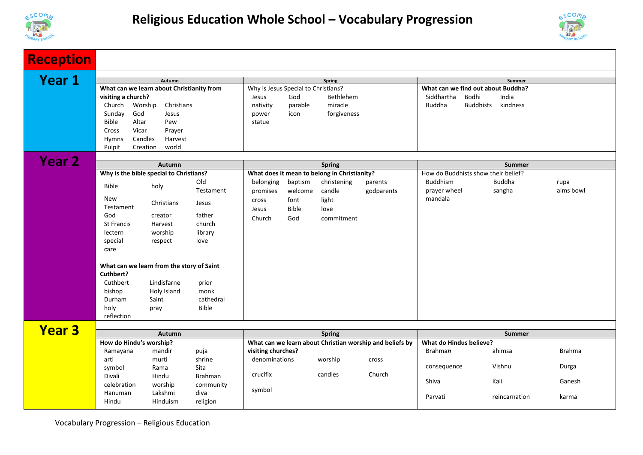



| <b>Reception</b> |                                                       |                    |              |                                                                                |              |             |                                                                      |                                              |               |           |  |
|------------------|-------------------------------------------------------|--------------------|--------------|--------------------------------------------------------------------------------|--------------|-------------|----------------------------------------------------------------------|----------------------------------------------|---------------|-----------|--|
| <b>Year 1</b>    |                                                       |                    |              |                                                                                |              |             |                                                                      |                                              |               |           |  |
|                  | Autumn<br>What can we learn about Christianity from   |                    |              | <b>Spring</b><br>Why is Jesus Special to Christians?                           |              |             |                                                                      | Summer<br>What can we find out about Buddha? |               |           |  |
|                  | visiting a church?                                    |                    |              | Jesus                                                                          | God          | Bethlehem   |                                                                      | Siddhartha<br>Bodhi<br>India                 |               |           |  |
|                  | Worship<br>Christians<br>Church                       |                    |              | parable<br>miracle<br>nativity                                                 |              |             | <b>Buddha</b><br><b>Buddhists</b><br>kindness                        |                                              |               |           |  |
|                  | God<br>Sunday                                         | Jesus              |              | power                                                                          | icon         | forgiveness |                                                                      |                                              |               |           |  |
|                  | Bible<br>Altar                                        | Pew                |              | statue                                                                         |              |             |                                                                      |                                              |               |           |  |
|                  | Cross<br>Vicar                                        | Prayer             |              |                                                                                |              |             |                                                                      |                                              |               |           |  |
|                  | Candles<br>Hymns                                      | Harvest            |              |                                                                                |              |             |                                                                      |                                              |               |           |  |
|                  | Pulpit<br>Creation                                    | world              |              |                                                                                |              |             |                                                                      |                                              |               |           |  |
| <b>Year 2</b>    |                                                       |                    |              |                                                                                |              |             |                                                                      |                                              |               |           |  |
|                  | Autumn                                                |                    |              | <b>Spring</b>                                                                  |              |             |                                                                      | <b>Summer</b>                                |               |           |  |
|                  | Why is the bible special to Christians?               |                    |              | What does it mean to belong in Christianity?                                   |              |             |                                                                      | How do Buddhists show their belief?          |               |           |  |
|                  | <b>Bible</b>                                          | holy               | Old          | belonging                                                                      | baptism      | christening | parents                                                              | Buddhism                                     | <b>Buddha</b> | rupa      |  |
|                  |                                                       |                    | Testament    | promises                                                                       | welcome      | candle      | godparents                                                           | prayer wheel                                 | sangha        | alms bowl |  |
|                  | New                                                   | Christians         | Jesus        | cross                                                                          | font         | light       |                                                                      | mandala                                      |               |           |  |
|                  | Testament<br>God                                      |                    | father       | Jesus                                                                          | <b>Bible</b> | love        |                                                                      |                                              |               |           |  |
|                  | St Francis                                            | creator<br>Harvest | church       | Church                                                                         | God          | commitment  |                                                                      |                                              |               |           |  |
|                  | lectern                                               | worship            | library      |                                                                                |              |             |                                                                      |                                              |               |           |  |
|                  | special                                               | respect            | love         |                                                                                |              |             |                                                                      |                                              |               |           |  |
|                  | care                                                  |                    |              |                                                                                |              |             |                                                                      |                                              |               |           |  |
|                  |                                                       |                    |              |                                                                                |              |             |                                                                      |                                              |               |           |  |
|                  | What can we learn from the story of Saint             |                    |              |                                                                                |              |             |                                                                      |                                              |               |           |  |
|                  | Cuthbert?                                             |                    |              |                                                                                |              |             |                                                                      |                                              |               |           |  |
|                  | Cuthbert                                              | Lindisfarne        | prior        |                                                                                |              |             |                                                                      |                                              |               |           |  |
|                  | bishop                                                | Holy Island        | monk         |                                                                                |              |             |                                                                      |                                              |               |           |  |
|                  | Durham                                                | Saint              | cathedral    |                                                                                |              |             |                                                                      |                                              |               |           |  |
|                  | holy                                                  | pray               | <b>Bible</b> |                                                                                |              |             |                                                                      |                                              |               |           |  |
|                  | reflection                                            |                    |              |                                                                                |              |             |                                                                      |                                              |               |           |  |
| <b>Year 3</b>    |                                                       |                    |              |                                                                                |              |             |                                                                      |                                              |               |           |  |
|                  | Autumn                                                |                    |              | <b>Spring</b>                                                                  |              |             |                                                                      | <b>Summer</b>                                |               |           |  |
|                  | How do Hindu's worship?<br>Ramayana<br>mandir<br>puja |                    |              | What can we learn about Christian worship and beliefs by<br>visiting churches? |              |             | What do Hindus believe?<br><b>Brahman</b><br><b>Brahma</b><br>ahimsa |                                              |               |           |  |
|                  | arti                                                  | murti              | shrine       | denominations                                                                  |              | worship     | cross                                                                |                                              |               |           |  |
|                  | symbol                                                | Rama               | Sita         |                                                                                |              |             |                                                                      | consequence                                  | Vishnu        | Durga     |  |
|                  | Divali                                                | Hindu              | Brahman      | crucifix                                                                       |              | candles     | Church                                                               |                                              |               |           |  |
|                  | celebration                                           | worship            | community    |                                                                                |              |             |                                                                      | Shiva                                        | Kali          | Ganesh    |  |
|                  | Hanuman                                               | Lakshmi            | diva         | symbol                                                                         |              |             |                                                                      |                                              |               |           |  |
|                  | Hindu                                                 | Hinduism           | religion     |                                                                                |              |             |                                                                      | Parvati                                      | reincarnation | karma     |  |
|                  |                                                       |                    |              |                                                                                |              |             |                                                                      |                                              |               |           |  |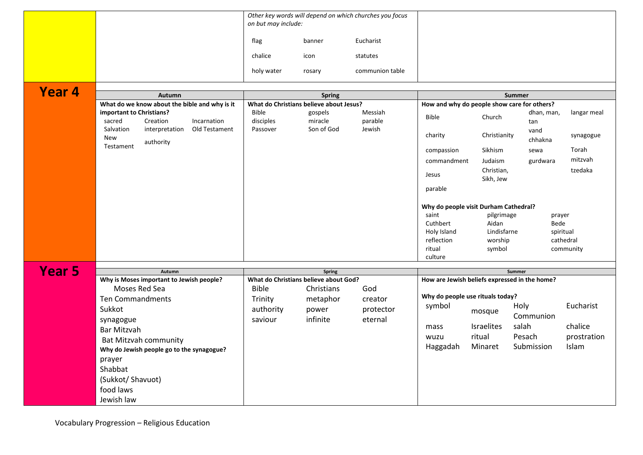|               |                                                                         | Other key words will depend on which churches you focus<br>on but may include: |                                         |                    |                                               |                   |                   |             |
|---------------|-------------------------------------------------------------------------|--------------------------------------------------------------------------------|-----------------------------------------|--------------------|-----------------------------------------------|-------------------|-------------------|-------------|
|               |                                                                         | flag                                                                           | banner                                  | Eucharist          |                                               |                   |                   |             |
|               |                                                                         | chalice                                                                        | icon                                    | statutes           |                                               |                   |                   |             |
|               |                                                                         | holy water                                                                     | rosary                                  | communion table    |                                               |                   |                   |             |
| Year 4        |                                                                         |                                                                                |                                         |                    |                                               |                   |                   |             |
|               | <b>Autumn</b>                                                           |                                                                                | <b>Spring</b>                           |                    | Summer                                        |                   |                   |             |
|               | What do we know about the bible and why is it                           |                                                                                | What do Christians believe about Jesus? |                    | How and why do people show care for others?   |                   |                   |             |
|               | important to Christians?<br>sacred<br>Creation<br>Incarnation           | <b>Bible</b><br>disciples                                                      | gospels<br>miracle                      | Messiah<br>parable | <b>Bible</b>                                  | Church            | dhan, man,<br>tan | langar meal |
|               | Salvation<br>interpretation<br>Old Testament<br><b>New</b><br>authority | Passover                                                                       | Son of God                              | Jewish             | charity                                       | Christianity      | vand<br>chhakna   | synagogue   |
|               | Testament                                                               |                                                                                |                                         |                    | compassion                                    | Sikhism           | sewa              | Torah       |
|               |                                                                         |                                                                                |                                         |                    | commandment                                   | Judaism           | gurdwara          | mitzvah     |
|               |                                                                         |                                                                                |                                         |                    | Jesus                                         | Christian,        |                   | tzedaka     |
|               |                                                                         |                                                                                |                                         |                    | parable                                       | Sikh, Jew         |                   |             |
|               |                                                                         |                                                                                |                                         |                    | Why do people visit Durham Cathedral?         |                   |                   |             |
|               |                                                                         |                                                                                |                                         |                    | saint                                         | pilgrimage        | prayer            |             |
|               |                                                                         |                                                                                |                                         |                    | Cuthbert                                      | Aidan             | Bede              |             |
|               |                                                                         |                                                                                |                                         |                    | Holy Island                                   | Lindisfarne       |                   | spiritual   |
|               |                                                                         |                                                                                |                                         |                    | reflection                                    | worship           |                   | cathedral   |
|               |                                                                         |                                                                                |                                         |                    | ritual                                        | symbol            |                   | community   |
|               |                                                                         |                                                                                |                                         |                    | culture                                       |                   |                   |             |
| <b>Year 5</b> | Autumn                                                                  |                                                                                | <b>Spring</b>                           |                    |                                               |                   | Summer            |             |
|               | Why is Moses important to Jewish people?                                | What do Christians believe about God?                                          |                                         |                    | How are Jewish beliefs expressed in the home? |                   |                   |             |
|               | Moses Red Sea                                                           | God<br><b>Bible</b><br>Christians                                              |                                         |                    |                                               |                   |                   |             |
|               | Ten Commandments                                                        | Trinity                                                                        | metaphor                                | creator            | Why do people use rituals today?              |                   |                   |             |
|               | Sukkot                                                                  | authority                                                                      | power                                   | protector          | symbol                                        | mosque            | Holy              | Eucharist   |
|               | synagogue                                                               | saviour                                                                        | infinite                                | eternal            |                                               |                   | Communion         |             |
|               | Bar Mitzvah                                                             |                                                                                |                                         |                    | mass                                          | <b>Israelites</b> | salah             | chalice     |
|               | <b>Bat Mitzvah community</b>                                            |                                                                                |                                         |                    | wuzu                                          | ritual            | Pesach            | prostration |
|               | Why do Jewish people go to the synagogue?                               |                                                                                |                                         |                    | Haggadah                                      | Minaret           | Submission        | Islam       |
|               | prayer                                                                  |                                                                                |                                         |                    |                                               |                   |                   |             |
|               | Shabbat                                                                 |                                                                                |                                         |                    |                                               |                   |                   |             |
|               | (Sukkot/Shavuot)                                                        |                                                                                |                                         |                    |                                               |                   |                   |             |
|               | food laws                                                               |                                                                                |                                         |                    |                                               |                   |                   |             |
|               |                                                                         |                                                                                |                                         |                    |                                               |                   |                   |             |
|               | Jewish law                                                              |                                                                                |                                         |                    |                                               |                   |                   |             |